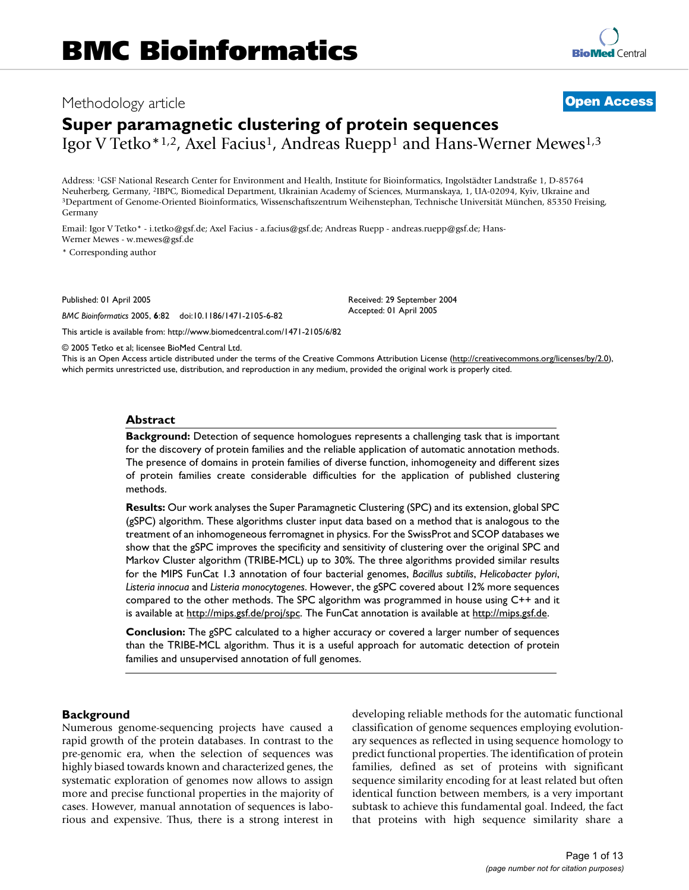## Methodology article **[Open Access](http://www.biomedcentral.com/info/about/charter/)**

# **Super paramagnetic clustering of protein sequences**

Received: 29 September 2004 Accepted: 01 April 2005

Igor V Tetko\*<sup>1,2</sup>, Axel Facius<sup>1</sup>, Andreas Ruepp<sup>1</sup> and Hans-Werner Mewes<sup>1,3</sup>

Address: 1GSF National Research Center for Environment and Health, Institute for Bioinformatics, Ingolstädter Landstraße 1, D-85764 Neuherberg, Germany, <sup>2</sup>IBPC, Biomedical Department, Ukrainian Academy of Sciences, Murmanskaya, 1, UA-02094, Kyiv, Ukraine and<br><sup>3</sup>Department of Genome-Oriented Bioinformatics, Wissenschaftszentrum Weihenstephan, Technisch Germany

Email: Igor V Tetko\* - i.tetko@gsf.de; Axel Facius - a.facius@gsf.de; Andreas Ruepp - andreas.ruepp@gsf.de; Hans-Werner Mewes - w.mewes@gsf.de

\* Corresponding author

Published: 01 April 2005

*BMC Bioinformatics* 2005, **6**:82 doi:10.1186/1471-2105-6-82

[This article is available from: http://www.biomedcentral.com/1471-2105/6/82](http://www.biomedcentral.com/1471-2105/6/82)

© 2005 Tetko et al; licensee BioMed Central Ltd.

This is an Open Access article distributed under the terms of the Creative Commons Attribution License [\(http://creativecommons.org/licenses/by/2.0\)](http://creativecommons.org/licenses/by/2.0), which permits unrestricted use, distribution, and reproduction in any medium, provided the original work is properly cited.

#### **Abstract**

**Background:** Detection of sequence homologues represents a challenging task that is important for the discovery of protein families and the reliable application of automatic annotation methods. The presence of domains in protein families of diverse function, inhomogeneity and different sizes of protein families create considerable difficulties for the application of published clustering methods.

**Results:** Our work analyses the Super Paramagnetic Clustering (SPC) and its extension, global SPC (gSPC) algorithm. These algorithms cluster input data based on a method that is analogous to the treatment of an inhomogeneous ferromagnet in physics. For the SwissProt and SCOP databases we show that the gSPC improves the specificity and sensitivity of clustering over the original SPC and Markov Cluster algorithm (TRIBE-MCL) up to 30%. The three algorithms provided similar results for the MIPS FunCat 1.3 annotation of four bacterial genomes, *Bacillus subtilis*, *Helicobacter pylori*, *Listeria innocua* and *Listeria monocytogenes*. However, the gSPC covered about 12% more sequences compared to the other methods. The SPC algorithm was programmed in house using C++ and it is available at [http://mips.gsf.de/proj/spc.](http://mips.gsf.de/proj/spc) The FunCat annotation is available at<http://mips.gsf.de>.

**Conclusion:** The gSPC calculated to a higher accuracy or covered a larger number of sequences than the TRIBE-MCL algorithm. Thus it is a useful approach for automatic detection of protein families and unsupervised annotation of full genomes.

#### **Background**

Numerous genome-sequencing projects have caused a rapid growth of the protein databases. In contrast to the pre-genomic era, when the selection of sequences was highly biased towards known and characterized genes, the systematic exploration of genomes now allows to assign more and precise functional properties in the majority of cases. However, manual annotation of sequences is laborious and expensive. Thus, there is a strong interest in developing reliable methods for the automatic functional classification of genome sequences employing evolutionary sequences as reflected in using sequence homology to predict functional properties. The identification of protein families, defined as set of proteins with significant sequence similarity encoding for at least related but often identical function between members, is a very important subtask to achieve this fundamental goal. Indeed, the fact that proteins with high sequence similarity share a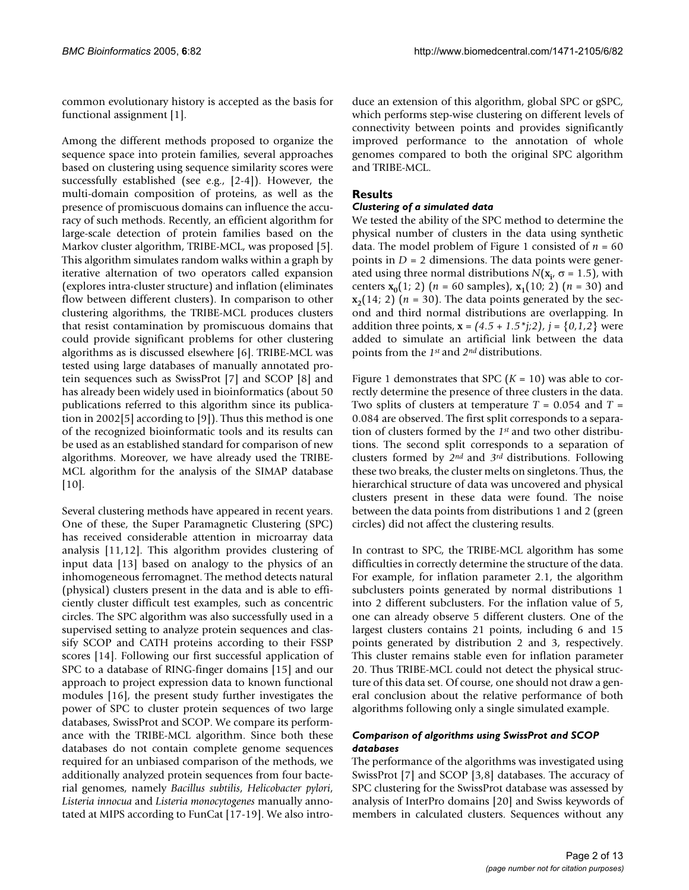common evolutionary history is accepted as the basis for functional assignment [1].

Among the different methods proposed to organize the sequence space into protein families, several approaches based on clustering using sequence similarity scores were successfully established (see e.g., [2-4]). However, the multi-domain composition of proteins, as well as the presence of promiscuous domains can influence the accuracy of such methods. Recently, an efficient algorithm for large-scale detection of protein families based on the Markov cluster algorithm, TRIBE-MCL, was proposed [5]. This algorithm simulates random walks within a graph by iterative alternation of two operators called expansion (explores intra-cluster structure) and inflation (eliminates flow between different clusters). In comparison to other clustering algorithms, the TRIBE-MCL produces clusters that resist contamination by promiscuous domains that could provide significant problems for other clustering algorithms as is discussed elsewhere [6]. TRIBE-MCL was tested using large databases of manually annotated protein sequences such as SwissProt [7] and SCOP [8] and has already been widely used in bioinformatics (about 50 publications referred to this algorithm since its publication in 2002[5] according to [9]). Thus this method is one of the recognized bioinformatic tools and its results can be used as an established standard for comparison of new algorithms. Moreover, we have already used the TRIBE-MCL algorithm for the analysis of the SIMAP database  $[10]$ .

Several clustering methods have appeared in recent years. One of these, the Super Paramagnetic Clustering (SPC) has received considerable attention in microarray data analysis [11,12]. This algorithm provides clustering of input data [13] based on analogy to the physics of an inhomogeneous ferromagnet. The method detects natural (physical) clusters present in the data and is able to efficiently cluster difficult test examples, such as concentric circles. The SPC algorithm was also successfully used in a supervised setting to analyze protein sequences and classify SCOP and CATH proteins according to their FSSP scores [14]. Following our first successful application of SPC to a database of RING-finger domains [15] and our approach to project expression data to known functional modules [16], the present study further investigates the power of SPC to cluster protein sequences of two large databases, SwissProt and SCOP. We compare its performance with the TRIBE-MCL algorithm. Since both these databases do not contain complete genome sequences required for an unbiased comparison of the methods, we additionally analyzed protein sequences from four bacterial genomes, namely *Bacillus subtilis*, *Helicobacter pylori*, *Listeria innocua* and *Listeria monocytogenes* manually annotated at MIPS according to FunCat [17-19]. We also introduce an extension of this algorithm, global SPC or gSPC, which performs step-wise clustering on different levels of connectivity between points and provides significantly improved performance to the annotation of whole genomes compared to both the original SPC algorithm and TRIBE-MCL.

## **Results**

#### *Clustering of a simulated data*

We tested the ability of the SPC method to determine the physical number of clusters in the data using synthetic data. The model problem of Figure [1](#page-2-0) consisted of *n* = 60 points in  $D = 2$  dimensions. The data points were generated using three normal distributions  $N(\mathbf{x}_i, \sigma = 1.5)$ , with centers  $x_0(1; 2)$  (*n* = 60 samples),  $x_1(10; 2)$  (*n* = 30) and  $x_2(14; 2)$  ( $n = 30$ ). The data points generated by the second and third normal distributions are overlapping. In addition three points, **x** = *(4.5 + 1.5\*j;2), j = {0,1,2}* were added to simulate an artificial link between the data points from the *1st* and *2nd* distributions.

Figure [1](#page-2-0) demonstrates that SPC  $(K = 10)$  was able to correctly determine the presence of three clusters in the data. Two splits of clusters at temperature *T* = 0.054 and *T* = 0.084 are observed. The first split corresponds to a separation of clusters formed by the *1st* and two other distributions. The second split corresponds to a separation of clusters formed by *2nd* and *3rd* distributions. Following these two breaks, the cluster melts on singletons. Thus, the hierarchical structure of data was uncovered and physical clusters present in these data were found. The noise between the data points from distributions 1 and 2 (green circles) did not affect the clustering results.

In contrast to SPC, the TRIBE-MCL algorithm has some difficulties in correctly determine the structure of the data. For example, for inflation parameter 2.1, the algorithm subclusters points generated by normal distributions 1 into 2 different subclusters. For the inflation value of 5, one can already observe 5 different clusters. One of the largest clusters contains 21 points, including 6 and 15 points generated by distribution 2 and 3, respectively. This cluster remains stable even for inflation parameter 20. Thus TRIBE-MCL could not detect the physical structure of this data set. Of course, one should not draw a general conclusion about the relative performance of both algorithms following only a single simulated example.

#### *Comparison of algorithms using SwissProt and SCOP databases*

The performance of the algorithms was investigated using SwissProt [7] and SCOP [3,8] databases. The accuracy of SPC clustering for the SwissProt database was assessed by analysis of InterPro domains [20] and Swiss keywords of members in calculated clusters. Sequences without any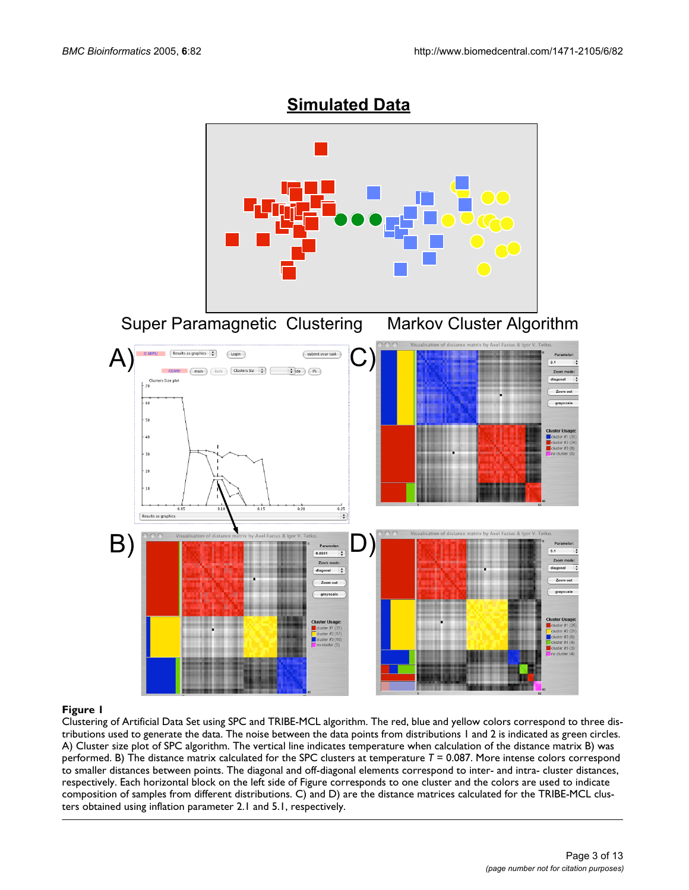

<span id="page-2-0"></span>



#### Figure 1

Clustering of Artificial Data Set using SPC and TRIBE-MCL algorithm. The red, blue and yellow colors correspond to three distributions used to generate the data. The noise between the data points from distributions 1 and 2 is indicated as green circles. A) Cluster size plot of SPC algorithm. The vertical line indicates temperature when calculation of the distance matrix B) was performed. B) The distance matrix calculated for the SPC clusters at temperature *T* = 0.087. More intense colors correspond to smaller distances between points. The diagonal and off-diagonal elements correspond to inter- and intra- cluster distances, respectively. Each horizontal block on the left side of Figure corresponds to one cluster and the colors are used to indicate composition of samples from different distributions. C) and D) are the distance matrices calculated for the TRIBE-MCL clusters obtained using inflation parameter 2.1 and 5.1, respectively.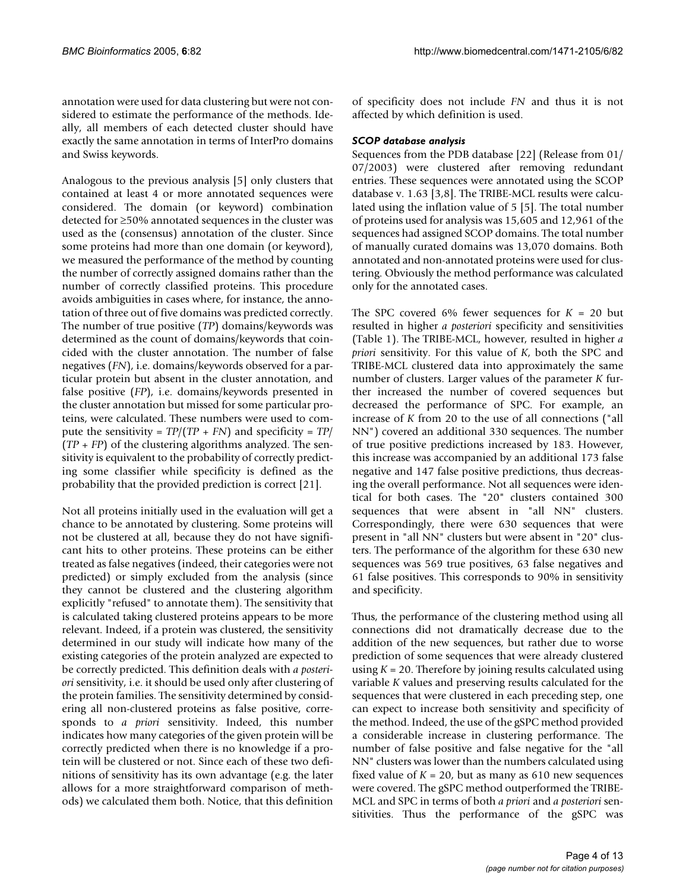annotation were used for data clustering but were not considered to estimate the performance of the methods. Ideally, all members of each detected cluster should have exactly the same annotation in terms of InterPro domains and Swiss keywords.

Analogous to the previous analysis [5] only clusters that contained at least 4 or more annotated sequences were considered. The domain (or keyword) combination detected for ≥50% annotated sequences in the cluster was used as the (consensus) annotation of the cluster. Since some proteins had more than one domain (or keyword), we measured the performance of the method by counting the number of correctly assigned domains rather than the number of correctly classified proteins. This procedure avoids ambiguities in cases where, for instance, the annotation of three out of five domains was predicted correctly. The number of true positive (*TP*) domains/keywords was determined as the count of domains/keywords that coincided with the cluster annotation. The number of false negatives (*FN*), i.e. domains/keywords observed for a particular protein but absent in the cluster annotation, and false positive (*FP*), i.e. domains/keywords presented in the cluster annotation but missed for some particular proteins, were calculated. These numbers were used to compute the sensitivity = *TP*/(*TP* + *FN*) and specificity = *TP*/ (*TP* + *FP*) of the clustering algorithms analyzed. The sensitivity is equivalent to the probability of correctly predicting some classifier while specificity is defined as the probability that the provided prediction is correct [21].

Not all proteins initially used in the evaluation will get a chance to be annotated by clustering. Some proteins will not be clustered at all, because they do not have significant hits to other proteins. These proteins can be either treated as false negatives (indeed, their categories were not predicted) or simply excluded from the analysis (since they cannot be clustered and the clustering algorithm explicitly "refused" to annotate them). The sensitivity that is calculated taking clustered proteins appears to be more relevant. Indeed, if a protein was clustered, the sensitivity determined in our study will indicate how many of the existing categories of the protein analyzed are expected to be correctly predicted. This definition deals with *a posteriori* sensitivity, i.e. it should be used only after clustering of the protein families. The sensitivity determined by considering all non-clustered proteins as false positive, corresponds to *a priori* sensitivity. Indeed, this number indicates how many categories of the given protein will be correctly predicted when there is no knowledge if a protein will be clustered or not. Since each of these two definitions of sensitivity has its own advantage (e.g. the later allows for a more straightforward comparison of methods) we calculated them both. Notice, that this definition

of specificity does not include *FN* and thus it is not affected by which definition is used.

#### *SCOP database analysis*

Sequences from the PDB database [22] (Release from 01/ 07/2003) were clustered after removing redundant entries. These sequences were annotated using the SCOP database v. 1.63 [3,8]. The TRIBE-MCL results were calculated using the inflation value of 5 [5]. The total number of proteins used for analysis was 15,605 and 12,961 of the sequences had assigned SCOP domains. The total number of manually curated domains was 13,070 domains. Both annotated and non-annotated proteins were used for clustering. Obviously the method performance was calculated only for the annotated cases.

The SPC covered 6% fewer sequences for  $K = 20$  but resulted in higher *a posteriori* specificity and sensitivities (Table [1](#page-4-0)). The TRIBE-MCL, however, resulted in higher *a priori* sensitivity. For this value of *K*, both the SPC and TRIBE-MCL clustered data into approximately the same number of clusters. Larger values of the parameter *K* further increased the number of covered sequences but decreased the performance of SPC. For example, an increase of *K* from 20 to the use of all connections ("all NN") covered an additional 330 sequences. The number of true positive predictions increased by 183. However, this increase was accompanied by an additional 173 false negative and 147 false positive predictions, thus decreasing the overall performance. Not all sequences were identical for both cases. The "20" clusters contained 300 sequences that were absent in "all NN" clusters. Correspondingly, there were 630 sequences that were present in "all NN" clusters but were absent in "20" clusters. The performance of the algorithm for these 630 new sequences was 569 true positives, 63 false negatives and 61 false positives. This corresponds to 90% in sensitivity and specificity.

Thus, the performance of the clustering method using all connections did not dramatically decrease due to the addition of the new sequences, but rather due to worse prediction of some sequences that were already clustered using *K* = 20. Therefore by joining results calculated using variable *K* values and preserving results calculated for the sequences that were clustered in each preceding step, one can expect to increase both sensitivity and specificity of the method. Indeed, the use of the gSPC method provided a considerable increase in clustering performance. The number of false positive and false negative for the "all NN" clusters was lower than the numbers calculated using fixed value of  $K = 20$ , but as many as 610 new sequences were covered. The gSPC method outperformed the TRIBE-MCL and SPC in terms of both *a priori* and *a posteriori* sensitivities. Thus the performance of the gSPC was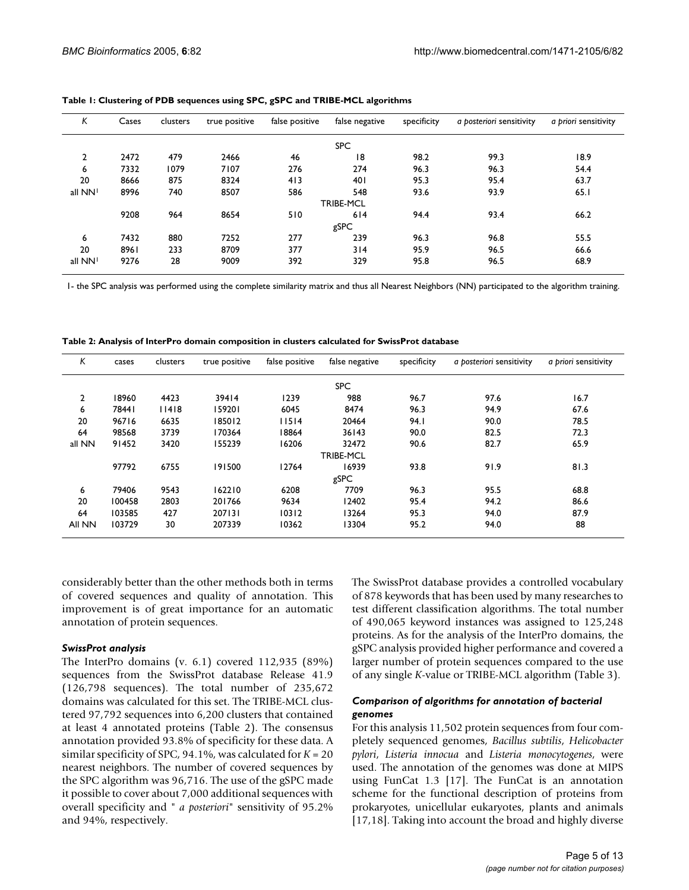| Κ                   | Cases | clusters | true positive | false positive | false negative   | specificity | a posteriori sensitivity | a priori sensitivity |
|---------------------|-------|----------|---------------|----------------|------------------|-------------|--------------------------|----------------------|
|                     |       |          |               |                | <b>SPC</b>       |             |                          |                      |
| 2                   | 2472  | 479      | 2466          | 46             | 18               | 98.2        | 99.3                     | 18.9                 |
| 6                   | 7332  | 1079     | 7107          | 276            | 274              | 96.3        | 96.3                     | 54.4                 |
| 20                  | 8666  | 875      | 8324          | 413            | 401              | 95.3        | 95.4                     | 63.7                 |
| all NN <sup>1</sup> | 8996  | 740      | 8507          | 586            | 548              | 93.6        | 93.9                     | 65.1                 |
|                     |       |          |               |                | <b>TRIBE-MCL</b> |             |                          |                      |
|                     | 9208  | 964      | 8654          | 510            | 614              | 94.4        | 93.4                     | 66.2                 |
|                     |       |          |               |                | gSPC             |             |                          |                      |
| 6                   | 7432  | 880      | 7252          | 277            | 239              | 96.3        | 96.8                     | 55.5                 |
| 20                  | 8961  | 233      | 8709          | 377            | 314              | 95.9        | 96.5                     | 66.6                 |
| all NN <sup>1</sup> | 9276  | 28       | 9009          | 392            | 329              | 95.8        | 96.5                     | 68.9                 |

<span id="page-4-0"></span>

|  |  | Table 1: Clustering of PDB sequences using SPC, gSPC and TRIBE-MCL algorithms |
|--|--|-------------------------------------------------------------------------------|
|  |  |                                                                               |

1- the SPC analysis was performed using the complete similarity matrix and thus all Nearest Neighbors (NN) participated to the algorithm training.

<span id="page-4-1"></span>**Table 2: Analysis of InterPro domain composition in clusters calculated for SwissProt database**

| K              | cases  | clusters | true positive | false positive | false negative   | specificity | a bosteriori sensitivity | a priori sensitivity |
|----------------|--------|----------|---------------|----------------|------------------|-------------|--------------------------|----------------------|
|                |        |          |               |                | <b>SPC</b>       |             |                          |                      |
| $\overline{2}$ | 18960  | 4423     | 39414         | 1239           | 988              | 96.7        | 97.6                     | 16.7                 |
| 6              | 78441  | 11418    | 159201        | 6045           | 8474             | 96.3        | 94.9                     | 67.6                 |
| 20             | 96716  | 6635     | 185012        | 11514          | 20464            | 94.1        | 90.0                     | 78.5                 |
| 64             | 98568  | 3739     | 170364        | 18864          | 36143            | 90.0        | 82.5                     | 72.3                 |
| all NN         | 91452  | 3420     | 155239        | 16206          | 32472            | 90.6        | 82.7                     | 65.9                 |
|                |        |          |               |                | <b>TRIBE-MCL</b> |             |                          |                      |
|                | 97792  | 6755     | 191500        | 12764          | 16939            | 93.8        | 91.9                     | 81.3                 |
|                |        |          |               |                | gSPC             |             |                          |                      |
| 6              | 79406  | 9543     | 162210        | 6208           | 7709             | 96.3        | 95.5                     | 68.8                 |
| 20             | 100458 | 2803     | 201766        | 9634           | 12402            | 95.4        | 94.2                     | 86.6                 |
| 64             | 103585 | 427      | 207131        | 10312          | 13264            | 95.3        | 94.0                     | 87.9                 |
| All NN         | 103729 | 30       | 207339        | 10362          | 13304            | 95.2        | 94.0                     | 88                   |

considerably better than the other methods both in terms of covered sequences and quality of annotation. This improvement is of great importance for an automatic annotation of protein sequences.

#### *SwissProt analysis*

The InterPro domains (v. 6.1) covered 112,935 (89%) sequences from the SwissProt database Release 41.9 (126,798 sequences). The total number of 235,672 domains was calculated for this set. The TRIBE-MCL clustered 97,792 sequences into 6,200 clusters that contained at least 4 annotated proteins (Table [2\)](#page-4-1). The consensus annotation provided 93.8% of specificity for these data. A similar specificity of SPC, 94.1%, was calculated for *K* = 20 nearest neighbors. The number of covered sequences by the SPC algorithm was 96,716. The use of the gSPC made it possible to cover about 7,000 additional sequences with overall specificity and " *a posteriori*" sensitivity of 95.2% and 94%, respectively.

The SwissProt database provides a controlled vocabulary of 878 keywords that has been used by many researches to test different classification algorithms. The total number of 490,065 keyword instances was assigned to 125,248 proteins. As for the analysis of the InterPro domains, the gSPC analysis provided higher performance and covered a larger number of protein sequences compared to the use of any single *K*-value or TRIBE-MCL algorithm (Table [3](#page-5-0)).

#### *Comparison of algorithms for annotation of bacterial genomes*

For this analysis 11,502 protein sequences from four completely sequenced genomes, *Bacillus subtilis*, *Helicobacter pylori*, *Listeria innocua* and *Listeria monocytogenes*, were used. The annotation of the genomes was done at MIPS using FunCat 1.3 [17]. The FunCat is an annotation scheme for the functional description of proteins from prokaryotes, unicellular eukaryotes, plants and animals [17,18]. Taking into account the broad and highly diverse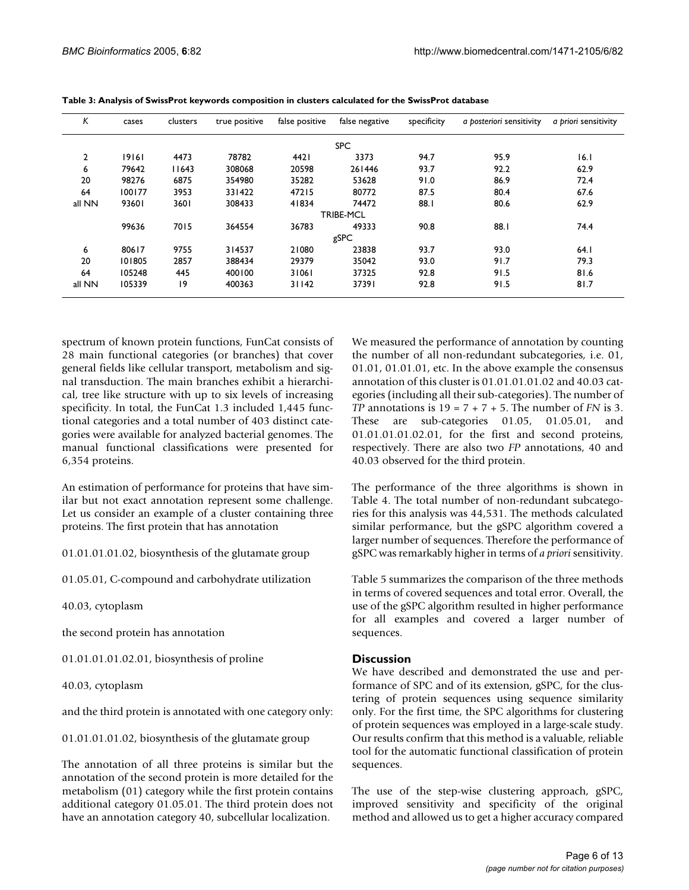| Κ      | cases  | clusters | true positive | false positive | false negative   | specificity | a bosteriori sensitivity | a priori sensitivity |
|--------|--------|----------|---------------|----------------|------------------|-------------|--------------------------|----------------------|
|        |        |          |               |                | SPC.             |             |                          |                      |
| 2      | 19161  | 4473     | 78782         | 4421           | 3373             | 94.7        | 95.9                     | 6.1                  |
| 6      | 79642  | 11643    | 308068        | 20598          | 261446           | 93.7        | 92.2                     | 62.9                 |
| 20     | 98276  | 6875     | 354980        | 35282          | 53628            | 91.0        | 86.9                     | 72.4                 |
| 64     | 100177 | 3953     | 331422        | 47215          | 80772            | 87.5        | 80.4                     | 67.6                 |
| all NN | 93601  | 3601     | 308433        | 41834          | 74472            | 88.I        | 80.6                     | 62.9                 |
|        |        |          |               |                | <b>TRIBE-MCL</b> |             |                          |                      |
|        | 99636  | 7015     | 364554        | 36783          | 49333            | 90.8        | 88.1                     | 74.4                 |
|        |        |          |               |                | gSPC             |             |                          |                      |
| 6      | 80617  | 9755     | 314537        | 21080          | 23838            | 93.7        | 93.0                     | 64.1                 |
| 20     | 101805 | 2857     | 388434        | 29379          | 35042            | 93.0        | 91.7                     | 79.3                 |
| 64     | 105248 | 445      | 400100        | 31061          | 37325            | 92.8        | 91.5                     | 81.6                 |
| all NN | 105339 | 9        | 400363        | 31142          | 37391            | 92.8        | 91.5                     | 81.7                 |

<span id="page-5-0"></span>**Table 3: Analysis of SwissProt keywords composition in clusters calculated for the SwissProt database**

spectrum of known protein functions, FunCat consists of 28 main functional categories (or branches) that cover general fields like cellular transport, metabolism and signal transduction. The main branches exhibit a hierarchical, tree like structure with up to six levels of increasing specificity. In total, the FunCat 1.3 included 1,445 functional categories and a total number of 403 distinct categories were available for analyzed bacterial genomes. The manual functional classifications were presented for 6,354 proteins.

An estimation of performance for proteins that have similar but not exact annotation represent some challenge. Let us consider an example of a cluster containing three proteins. The first protein that has annotation

01.01.01.01.02, biosynthesis of the glutamate group

01.05.01, C-compound and carbohydrate utilization

40.03, cytoplasm

the second protein has annotation

01.01.01.01.02.01, biosynthesis of proline

40.03, cytoplasm

and the third protein is annotated with one category only:

01.01.01.01.02, biosynthesis of the glutamate group

The annotation of all three proteins is similar but the annotation of the second protein is more detailed for the metabolism (01) category while the first protein contains additional category 01.05.01. The third protein does not have an annotation category 40, subcellular localization.

We measured the performance of annotation by counting the number of all non-redundant subcategories, i.e. 01, 01.01, 01.01.01, etc. In the above example the consensus annotation of this cluster is 01.01.01.01.02 and 40.03 categories (including all their sub-categories). The number of *TP* annotations is 19 = 7 + 7 + 5. The number of *FN* is 3. These are sub-categories 01.05, 01.05.01, and 01.01.01.01.02.01, for the first and second proteins, respectively. There are also two *FP* annotations, 40 and 40.03 observed for the third protein.

The performance of the three algorithms is shown in Table [4.](#page-6-0) The total number of non-redundant subcategories for this analysis was 44,531. The methods calculated similar performance, but the gSPC algorithm covered a larger number of sequences. Therefore the performance of gSPC was remarkably higher in terms of *a priori* sensitivity.

Table [5](#page-6-1) summarizes the comparison of the three methods in terms of covered sequences and total error. Overall, the use of the gSPC algorithm resulted in higher performance for all examples and covered a larger number of sequences.

## **Discussion**

We have described and demonstrated the use and performance of SPC and of its extension, gSPC, for the clustering of protein sequences using sequence similarity only. For the first time, the SPC algorithms for clustering of protein sequences was employed in a large-scale study. Our results confirm that this method is a valuable, reliable tool for the automatic functional classification of protein sequences.

The use of the step-wise clustering approach, gSPC, improved sensitivity and specificity of the original method and allowed us to get a higher accuracy compared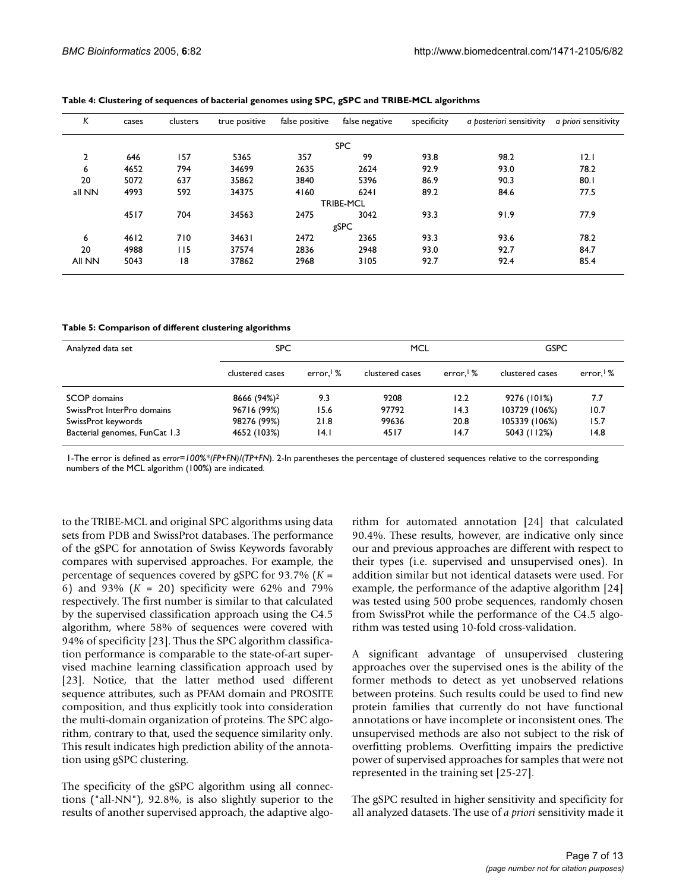| K              | cases | clusters | true positive | false positive | false negative   | specificity | a posteriori sensitivity | a priori sensitivity |
|----------------|-------|----------|---------------|----------------|------------------|-------------|--------------------------|----------------------|
|                |       |          |               |                | <b>SPC</b>       |             |                          |                      |
| $\overline{2}$ | 646   | 157      | 5365          | 357            | 99               | 93.8        | 98.2                     | 12.1                 |
| 6              | 4652  | 794      | 34699         | 2635           | 2624             | 92.9        | 93.0                     | 78.2                 |
| 20             | 5072  | 637      | 35862         | 3840           | 5396             | 86.9        | 90.3                     | 80.1                 |
| all NN         | 4993  | 592      | 34375         | 4160           | 6241             | 89.2        | 84.6                     | 77.5                 |
|                |       |          |               |                | <b>TRIBE-MCL</b> |             |                          |                      |
|                | 4517  | 704      | 34563         | 2475           | 3042             | 93.3        | 91.9                     | 77.9                 |
|                |       |          |               |                | gSPC             |             |                          |                      |
| 6              | 4612  | 710      | 34631         | 2472           | 2365             | 93.3        | 93.6                     | 78.2                 |
| 20             | 4988  | 115      | 37574         | 2836           | 2948             | 93.0        | 92.7                     | 84.7                 |
| All NN         | 5043  | 18       | 37862         | 2968           | 3105             | 92.7        | 92.4                     | 85.4                 |

#### <span id="page-6-0"></span>**Table 4: Clustering of sequences of bacterial genomes using SPC, gSPC and TRIBE-MCL algorithms**

<span id="page-6-1"></span>**Table 5: Comparison of different clustering algorithms**

| Analyzed data set             | <b>SPC</b>              |                        | MCL             |                        | <b>GSPC</b>     |                        |
|-------------------------------|-------------------------|------------------------|-----------------|------------------------|-----------------|------------------------|
|                               | clustered cases         | error. $\frac{1}{6}$ % | clustered cases | error. $\frac{1}{6}$ % | clustered cases | error. $\frac{1}{6}$ % |
| <b>SCOP</b> domains           | 8666 (94%) <sup>2</sup> | 9.3                    | 9208            | 12.2                   | 9276 (101%)     | 7.7                    |
| SwissProt InterPro domains    | 96716 (99%)             | 15.6                   | 97792           | 14.3                   | 103729 (106%)   | 10.7                   |
| SwissProt keywords            | 98276 (99%)             | 21.8                   | 99636           | 20.8                   | 105339 (106%)   | 15.7                   |
| Bacterial genomes, FunCat 1.3 | 4652 (103%)             | 14.I                   | 4517            | 14.7                   | 5043 (112%)     | 14.8                   |

1-The error is defined as *error=100%\*(FP+FN)/(TP+FN*). 2-In parentheses the percentage of clustered sequences relative to the corresponding numbers of the MCL algorithm (100%) are indicated.

to the TRIBE-MCL and original SPC algorithms using data sets from PDB and SwissProt databases. The performance of the gSPC for annotation of Swiss Keywords favorably compares with supervised approaches. For example, the percentage of sequences covered by gSPC for 93.7% (*K* = 6) and 93% (*K* = 20) specificity were 62% and 79% respectively. The first number is similar to that calculated by the supervised classification approach using the C4.5 algorithm, where 58% of sequences were covered with 94% of specificity [23]. Thus the SPC algorithm classification performance is comparable to the state-of-art supervised machine learning classification approach used by [23]. Notice, that the latter method used different sequence attributes, such as PFAM domain and PROSITE composition, and thus explicitly took into consideration the multi-domain organization of proteins. The SPC algorithm, contrary to that, used the sequence similarity only. This result indicates high prediction ability of the annotation using gSPC clustering.

The specificity of the gSPC algorithm using all connections ("all-NN"), 92.8%, is also slightly superior to the results of another supervised approach, the adaptive algorithm for automated annotation [24] that calculated 90.4%. These results, however, are indicative only since our and previous approaches are different with respect to their types (i.e. supervised and unsupervised ones). In addition similar but not identical datasets were used. For example, the performance of the adaptive algorithm [24] was tested using 500 probe sequences, randomly chosen from SwissProt while the performance of the C4.5 algorithm was tested using 10-fold cross-validation.

A significant advantage of unsupervised clustering approaches over the supervised ones is the ability of the former methods to detect as yet unobserved relations between proteins. Such results could be used to find new protein families that currently do not have functional annotations or have incomplete or inconsistent ones. The unsupervised methods are also not subject to the risk of overfitting problems. Overfitting impairs the predictive power of supervised approaches for samples that were not represented in the training set [25-27].

The gSPC resulted in higher sensitivity and specificity for all analyzed datasets. The use of *a priori* sensitivity made it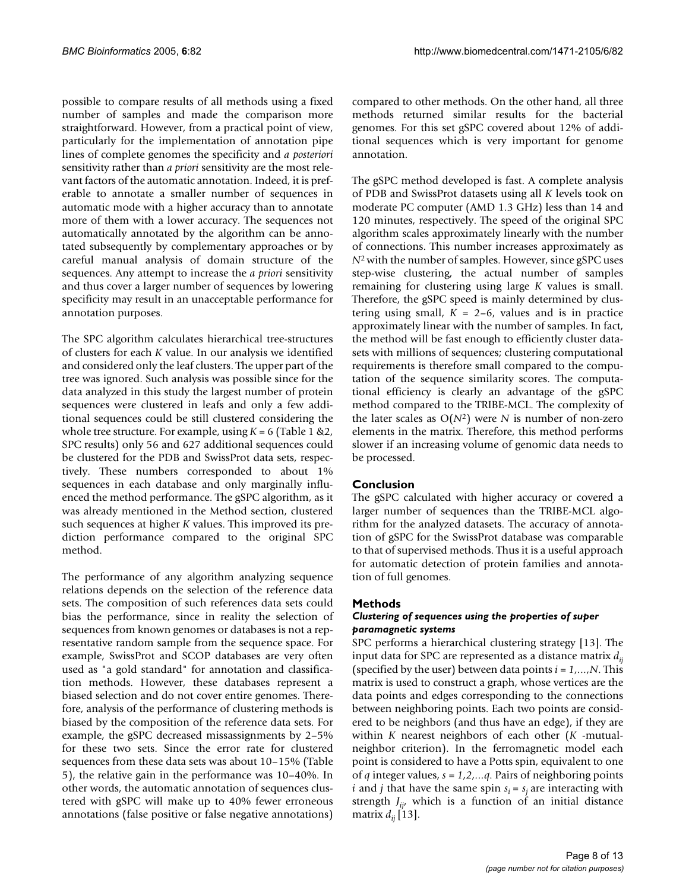possible to compare results of all methods using a fixed number of samples and made the comparison more straightforward. However, from a practical point of view, particularly for the implementation of annotation pipe lines of complete genomes the specificity and *a posteriori* sensitivity rather than *a priori* sensitivity are the most relevant factors of the automatic annotation. Indeed, it is preferable to annotate a smaller number of sequences in automatic mode with a higher accuracy than to annotate more of them with a lower accuracy. The sequences not automatically annotated by the algorithm can be annotated subsequently by complementary approaches or by careful manual analysis of domain structure of the sequences. Any attempt to increase the *a priori* sensitivity and thus cover a larger number of sequences by lowering specificity may result in an unacceptable performance for annotation purposes.

The SPC algorithm calculates hierarchical tree-structures of clusters for each *K* value. In our analysis we identified and considered only the leaf clusters. The upper part of the tree was ignored. Such analysis was possible since for the data analyzed in this study the largest number of protein sequences were clustered in leafs and only a few additional sequences could be still clustered considering the whole tree structure. For example, using *K* = 6 (Table [1](#page-4-0) [&2,](#page-4-1) SPC results) only 56 and 627 additional sequences could be clustered for the PDB and SwissProt data sets, respectively. These numbers corresponded to about 1% sequences in each database and only marginally influenced the method performance. The gSPC algorithm, as it was already mentioned in the Method section, clustered such sequences at higher *K* values. This improved its prediction performance compared to the original SPC method.

The performance of any algorithm analyzing sequence relations depends on the selection of the reference data sets. The composition of such references data sets could bias the performance, since in reality the selection of sequences from known genomes or databases is not a representative random sample from the sequence space. For example, SwissProt and SCOP databases are very often used as "a gold standard" for annotation and classification methods. However, these databases represent a biased selection and do not cover entire genomes. Therefore, analysis of the performance of clustering methods is biased by the composition of the reference data sets. For example, the gSPC decreased missassignments by 2–5% for these two sets. Since the error rate for clustered sequences from these data sets was about 10–15% (Table [5\)](#page-6-1), the relative gain in the performance was 10–40%. In other words, the automatic annotation of sequences clustered with gSPC will make up to 40% fewer erroneous annotations (false positive or false negative annotations)

compared to other methods. On the other hand, all three methods returned similar results for the bacterial genomes. For this set gSPC covered about 12% of additional sequences which is very important for genome annotation.

The gSPC method developed is fast. A complete analysis of PDB and SwissProt datasets using all *K* levels took on moderate PC computer (AMD 1.3 GHz) less than 14 and 120 minutes, respectively. The speed of the original SPC algorithm scales approximately linearly with the number of connections. This number increases approximately as *N*2 with the number of samples. However, since gSPC uses step-wise clustering, the actual number of samples remaining for clustering using large *K* values is small. Therefore, the gSPC speed is mainly determined by clustering using small,  $K = 2-6$ , values and is in practice approximately linear with the number of samples. In fact, the method will be fast enough to efficiently cluster datasets with millions of sequences; clustering computational requirements is therefore small compared to the computation of the sequence similarity scores. The computational efficiency is clearly an advantage of the gSPC method compared to the TRIBE-MCL. The complexity of the later scales as  $O(N^2)$  were *N* is number of non-zero elements in the matrix. Therefore, this method performs slower if an increasing volume of genomic data needs to be processed.

## **Conclusion**

The gSPC calculated with higher accuracy or covered a larger number of sequences than the TRIBE-MCL algorithm for the analyzed datasets. The accuracy of annotation of gSPC for the SwissProt database was comparable to that of supervised methods. Thus it is a useful approach for automatic detection of protein families and annotation of full genomes.

#### **Methods**

#### *Clustering of sequences using the properties of super paramagnetic systems*

SPC performs a hierarchical clustering strategy [13]. The input data for SPC are represented as a distance matrix  $d_{ii}$ (specified by the user) between data points *i = 1,...,N*. This matrix is used to construct a graph, whose vertices are the data points and edges corresponding to the connections between neighboring points. Each two points are considered to be neighbors (and thus have an edge), if they are within *K* nearest neighbors of each other (*K* -mutualneighbor criterion). In the ferromagnetic model each point is considered to have a Potts spin, equivalent to one of *q* integer values, *s* = *1,2,...q*. Pairs of neighboring points *i* and *j* that have the same spin  $s_i = s_j$  are interacting with strength  $J_{ij'}$ , which is a function of an initial distance matrix  $d_{ii}$  [13].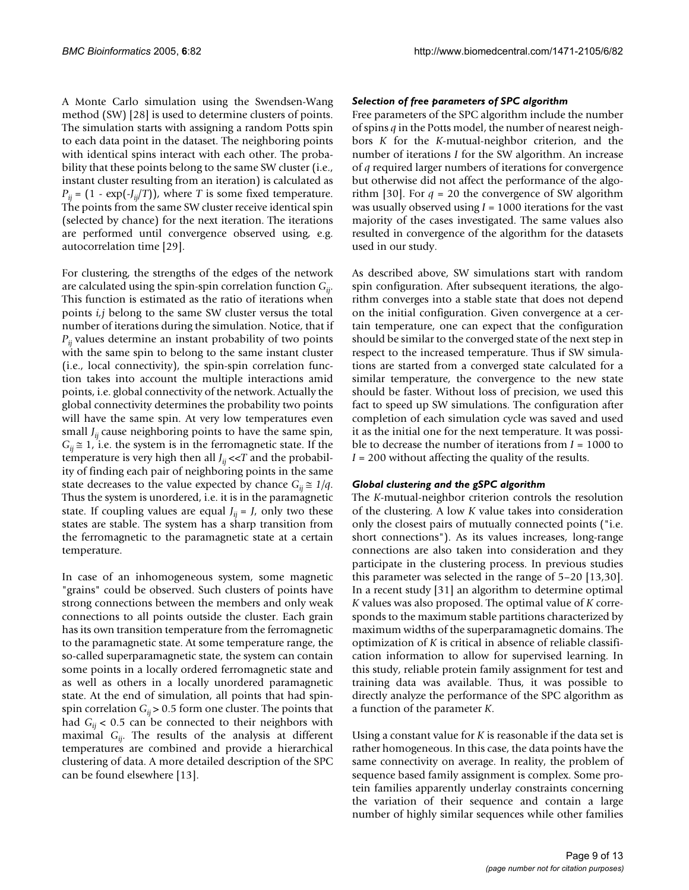A Monte Carlo simulation using the Swendsen-Wang method (SW) [28] is used to determine clusters of points. The simulation starts with assigning a random Potts spin to each data point in the dataset. The neighboring points with identical spins interact with each other. The probability that these points belong to the same SW cluster (i.e., instant cluster resulting from an iteration) is calculated as  $P_{ij} = (1 - \exp(-J_{ij}/T))$ , where *T* is some fixed temperature. The points from the same SW cluster receive identical spin (selected by chance) for the next iteration. The iterations are performed until convergence observed using, e.g. autocorrelation time [29].

For clustering, the strengths of the edges of the network are calculated using the spin-spin correlation function *Gij*. This function is estimated as the ratio of iterations when points *i,j* belong to the same SW cluster versus the total number of iterations during the simulation. Notice, that if *Pij* values determine an instant probability of two points with the same spin to belong to the same instant cluster (i.e., local connectivity), the spin-spin correlation function takes into account the multiple interactions amid points, i.e. global connectivity of the network. Actually the global connectivity determines the probability two points will have the same spin. At very low temperatures even small  $J_{ij}$  cause neighboring points to have the same spin,  $G_{ii} \cong 1$ , i.e. the system is in the ferromagnetic state. If the temperature is very high then all  $J_{ii} \ll T$  and the probability of finding each pair of neighboring points in the same state decreases to the value expected by chance  $G_{ii} \cong 1/q$ . Thus the system is unordered, i.e. it is in the paramagnetic state. If coupling values are equal  $J_{ij} = J$ , only two these states are stable. The system has a sharp transition from the ferromagnetic to the paramagnetic state at a certain temperature.

In case of an inhomogeneous system, some magnetic "grains" could be observed. Such clusters of points have strong connections between the members and only weak connections to all points outside the cluster. Each grain has its own transition temperature from the ferromagnetic to the paramagnetic state. At some temperature range, the so-called superparamagnetic state, the system can contain some points in a locally ordered ferromagnetic state and as well as others in a locally unordered paramagnetic state. At the end of simulation, all points that had spinspin correlation  $G_{ij}$  > 0.5 form one cluster. The points that had  $G_{ii}$  < 0.5 can be connected to their neighbors with maximal *Gij*. The results of the analysis at different temperatures are combined and provide a hierarchical clustering of data. A more detailed description of the SPC can be found elsewhere [13].

#### *Selection of free parameters of SPC algorithm*

Free parameters of the SPC algorithm include the number of spins *q* in the Potts model, the number of nearest neighbors *K* for the *K*-mutual-neighbor criterion, and the number of iterations *I* for the SW algorithm. An increase of *q* required larger numbers of iterations for convergence but otherwise did not affect the performance of the algorithm [30]. For  $q = 20$  the convergence of SW algorithm was usually observed using *I* = 1000 iterations for the vast majority of the cases investigated. The same values also resulted in convergence of the algorithm for the datasets used in our study.

As described above, SW simulations start with random spin configuration. After subsequent iterations, the algorithm converges into a stable state that does not depend on the initial configuration. Given convergence at a certain temperature, one can expect that the configuration should be similar to the converged state of the next step in respect to the increased temperature. Thus if SW simulations are started from a converged state calculated for a similar temperature, the convergence to the new state should be faster. Without loss of precision, we used this fact to speed up SW simulations. The configuration after completion of each simulation cycle was saved and used it as the initial one for the next temperature. It was possible to decrease the number of iterations from *I* = 1000 to *I* = 200 without affecting the quality of the results.

#### *Global clustering and the gSPC algorithm*

The *K*-mutual-neighbor criterion controls the resolution of the clustering. A low *K* value takes into consideration only the closest pairs of mutually connected points ("i.e. short connections"). As its values increases, long-range connections are also taken into consideration and they participate in the clustering process. In previous studies this parameter was selected in the range of 5–20 [13,30]. In a recent study [31] an algorithm to determine optimal *K* values was also proposed. The optimal value of *K* corresponds to the maximum stable partitions characterized by maximum widths of the superparamagnetic domains. The optimization of *K* is critical in absence of reliable classification information to allow for supervised learning. In this study, reliable protein family assignment for test and training data was available. Thus, it was possible to directly analyze the performance of the SPC algorithm as a function of the parameter *K*.

Using a constant value for *K* is reasonable if the data set is rather homogeneous. In this case, the data points have the same connectivity on average. In reality, the problem of sequence based family assignment is complex. Some protein families apparently underlay constraints concerning the variation of their sequence and contain a large number of highly similar sequences while other families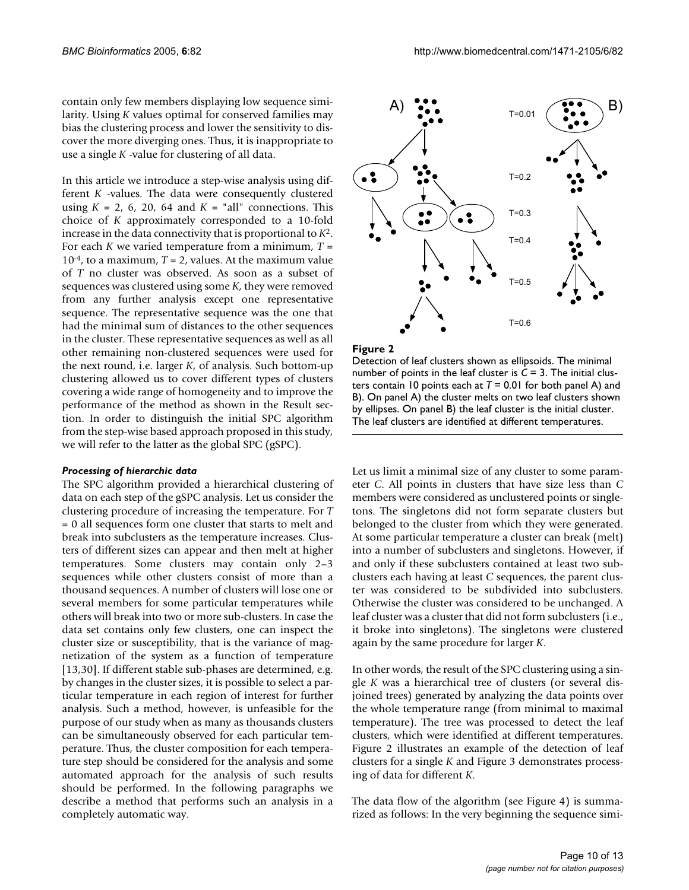contain only few members displaying low sequence similarity. Using *K* values optimal for conserved families may bias the clustering process and lower the sensitivity to discover the more diverging ones. Thus, it is inappropriate to use a single *K* -value for clustering of all data.

In this article we introduce a step-wise analysis using different *K* -values. The data were consequently clustered using  $K = 2$ , 6, 20, 64 and  $K = "all"$  connections. This choice of *K* approximately corresponded to a 10-fold increase in the data connectivity that is proportional to *K*2. For each *K* we varied temperature from a minimum, *T* =  $10^{-4}$ , to a maximum,  $T = 2$ , values. At the maximum value of *T* no cluster was observed. As soon as a subset of sequences was clustered using some *K*, they were removed from any further analysis except one representative sequence. The representative sequence was the one that had the minimal sum of distances to the other sequences in the cluster. These representative sequences as well as all other remaining non-clustered sequences were used for the next round, i.e. larger *K*, of analysis. Such bottom-up clustering allowed us to cover different types of clusters covering a wide range of homogeneity and to improve the performance of the method as shown in the Result section. In order to distinguish the initial SPC algorithm from the step-wise based approach proposed in this study, we will refer to the latter as the global SPC (gSPC).

#### *Processing of hierarchic data*

The SPC algorithm provided a hierarchical clustering of data on each step of the gSPC analysis. Let us consider the clustering procedure of increasing the temperature. For *T* = 0 all sequences form one cluster that starts to melt and break into subclusters as the temperature increases. Clusters of different sizes can appear and then melt at higher temperatures. Some clusters may contain only 2–3 sequences while other clusters consist of more than a thousand sequences. A number of clusters will lose one or several members for some particular temperatures while others will break into two or more sub-clusters. In case the data set contains only few clusters, one can inspect the cluster size or susceptibility, that is the variance of magnetization of the system as a function of temperature [13,30]. If different stable sub-phases are determined, e.g. by changes in the cluster sizes, it is possible to select a particular temperature in each region of interest for further analysis. Such a method, however, is unfeasible for the purpose of our study when as many as thousands clusters can be simultaneously observed for each particular temperature. Thus, the cluster composition for each temperature step should be considered for the analysis and some automated approach for the analysis of such results should be performed. In the following paragraphs we describe a method that performs such an analysis in a completely automatic way.



#### **Figure 2**

Detection of leaf clusters shown as ellipsoids. The minimal number of points in the leaf cluster is  $C = 3$ . The initial clusters contain 10 points each at  $T = 0.01$  for both panel A) and B). On panel A) the cluster melts on two leaf clusters shown by ellipses. On panel B) the leaf cluster is the initial cluster. The leaf clusters are identified at different temperatures.

Let us limit a minimal size of any cluster to some parameter *C*. All points in clusters that have size less than *C* members were considered as unclustered points or singletons. The singletons did not form separate clusters but belonged to the cluster from which they were generated. At some particular temperature a cluster can break (melt) into a number of subclusters and singletons. However, if and only if these subclusters contained at least two subclusters each having at least *C* sequences, the parent cluster was considered to be subdivided into subclusters. Otherwise the cluster was considered to be unchanged. A leaf cluster was a cluster that did not form subclusters (i.e., it broke into singletons). The singletons were clustered again by the same procedure for larger *K*.

In other words, the result of the SPC clustering using a single *K* was a hierarchical tree of clusters (or several disjoined trees) generated by analyzing the data points over the whole temperature range (from minimal to maximal temperature). The tree was processed to detect the leaf clusters, which were identified at different temperatures. Figure 2 illustrates an example of the detection of leaf clusters for a single *K* and Figure [3](#page-10-0) demonstrates processing of data for different *K*.

The data flow of the algorithm (see Figure 4) is summarized as follows: In the very beginning the sequence simi-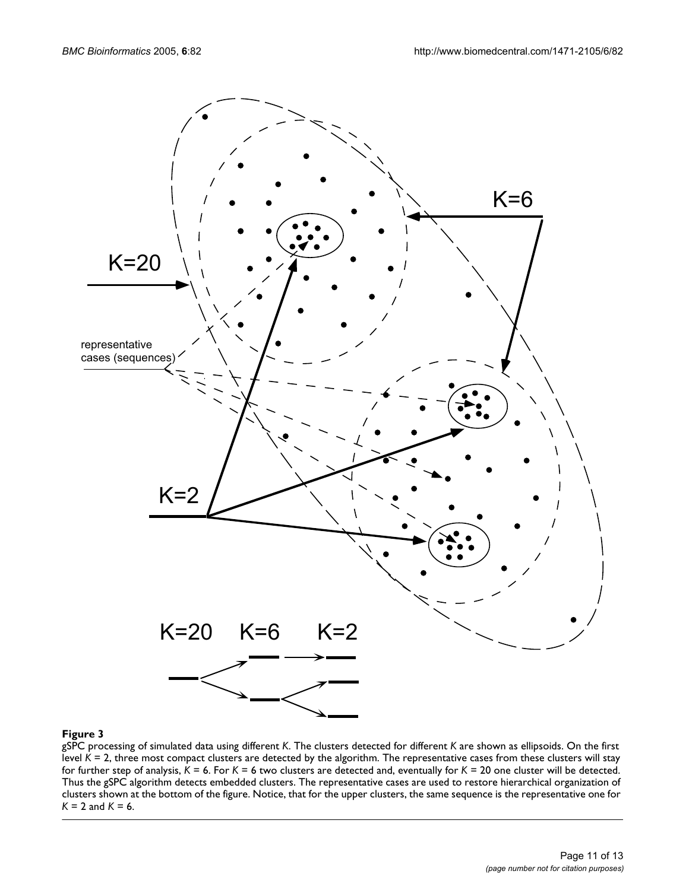<span id="page-10-0"></span>

#### **Figure 3**

gSPC processing of simulated data using different *K*. The clusters detected for different *K* are shown as ellipsoids. On the first level  $K = 2$ , three most compact clusters are detected by the algorithm. The representative cases from these clusters will stay for further step of analysis,  $K = 6$ . For  $K = 6$  two clusters are detected and, eventually for  $K = 20$  one cluster will be detected. Thus the gSPC algorithm detects embedded clusters. The representative cases are used to restore hierarchical organization of clusters shown at the bottom of the figure. Notice, that for the upper clusters, the same sequence is the representative one for  $K = 2$  and  $K = 6$ .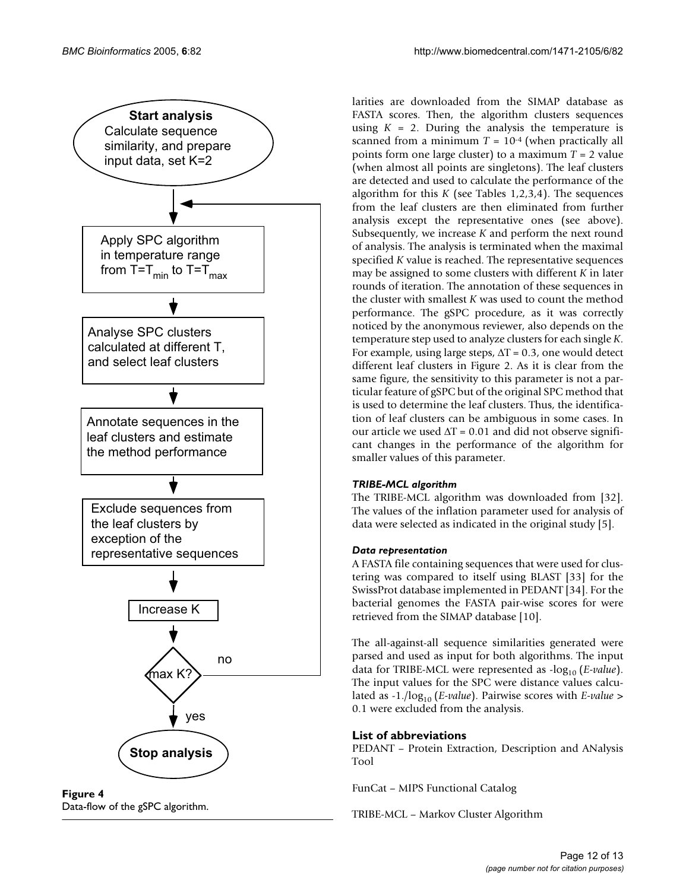



larities are downloaded from the SIMAP database as FASTA scores. Then, the algorithm clusters sequences using  $K = 2$ . During the analysis the temperature is scanned from a minimum  $T = 10^{-4}$  (when practically all points form one large cluster) to a maximum *T* = 2 value (when almost all points are singletons). The leaf clusters are detected and used to calculate the performance of the algorithm for this *K* (see Tables [1](#page-4-0)[,2](#page-4-1)[,3](#page-5-0)[,4\)](#page-6-0). The sequences from the leaf clusters are then eliminated from further analysis except the representative ones (see above). Subsequently, we increase *K* and perform the next round of analysis. The analysis is terminated when the maximal specified *K* value is reached. The representative sequences may be assigned to some clusters with different *K* in later rounds of iteration. The annotation of these sequences in the cluster with smallest *K* was used to count the method performance. The gSPC procedure, as it was correctly noticed by the anonymous reviewer, also depends on the temperature step used to analyze clusters for each single *K*. For example, using large steps,  $\Delta T = 0.3$ , one would detect different leaf clusters in Figure 2. As it is clear from the same figure, the sensitivity to this parameter is not a particular feature of gSPC but of the original SPC method that is used to determine the leaf clusters. Thus, the identification of leaf clusters can be ambiguous in some cases. In our article we used  $\Delta T = 0.01$  and did not observe significant changes in the performance of the algorithm for smaller values of this parameter.

## *TRIBE-MCL algorithm*

The TRIBE-MCL algorithm was downloaded from [32]. The values of the inflation parameter used for analysis of data were selected as indicated in the original study [5].

#### *Data representation*

A FASTA file containing sequences that were used for clustering was compared to itself using BLAST [33] for the SwissProt database implemented in PEDANT [34]. For the bacterial genomes the FASTA pair-wise scores for were retrieved from the SIMAP database [10].

The all-against-all sequence similarities generated were parsed and used as input for both algorithms. The input data for TRIBE-MCL were represented as -log<sub>10</sub> (*E-value*). The input values for the SPC were distance values calculated as  $-1$ ./log<sub>10</sub> (*E-value*). Pairwise scores with *E-value* > 0.1 were excluded from the analysis.

#### **List of abbreviations**

PEDANT – Protein Extraction, Description and ANalysis Tool

FunCat – MIPS Functional Catalog

TRIBE-MCL – Markov Cluster Algorithm